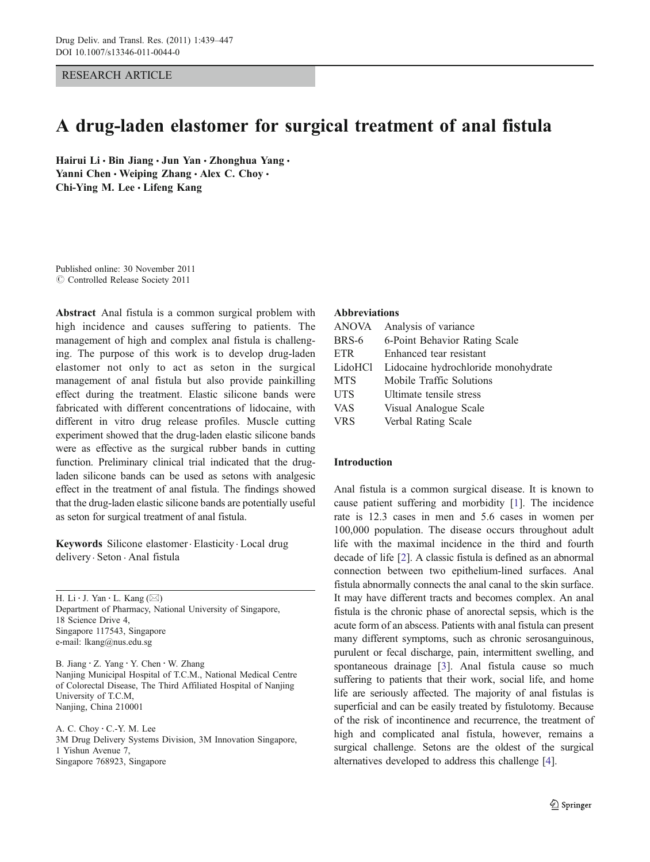RESEARCH ARTICLE

# A drug-laden elastomer for surgical treatment of anal fistula

Hairui Li · Bin Jiang · Jun Yan · Zhonghua Yang · Yanni Chen • Weiping Zhang • Alex C. Choy • Chi-Ying M. Lee · Lifeng Kang

Published online: 30 November 2011  $\oslash$  Controlled Release Society 2011

Abstract Anal fistula is a common surgical problem with high incidence and causes suffering to patients. The management of high and complex anal fistula is challenging. The purpose of this work is to develop drug-laden elastomer not only to act as seton in the surgical management of anal fistula but also provide painkilling effect during the treatment. Elastic silicone bands were fabricated with different concentrations of lidocaine, with different in vitro drug release profiles. Muscle cutting experiment showed that the drug-laden elastic silicone bands were as effective as the surgical rubber bands in cutting function. Preliminary clinical trial indicated that the drugladen silicone bands can be used as setons with analgesic effect in the treatment of anal fistula. The findings showed that the drug-laden elastic silicone bands are potentially useful as seton for surgical treatment of anal fistula.

Keywords Silicone elastomer. Elasticity . Local drug delivery. Seton . Anal fistula

H. Li  $\cdot$  J. Yan  $\cdot$  L. Kang ( $\boxtimes$ ) Department of Pharmacy, National University of Singapore, 18 Science Drive 4, Singapore 117543, Singapore e-mail: lkang@nus.edu.sg

B. Jiang : Z. Yang : Y. Chen : W. Zhang Nanjing Municipal Hospital of T.C.M., National Medical Centre of Colorectal Disease, The Third Affiliated Hospital of Nanjing University of T.C.M, Nanjing, China 210001

A. C. Choy : C.-Y. M. Lee 3M Drug Delivery Systems Division, 3M Innovation Singapore, 1 Yishun Avenue 7, Singapore 768923, Singapore

#### Abbreviations

| <b>ANOVA</b> | Analysis of variance                |
|--------------|-------------------------------------|
| BRS-6        | 6-Point Behavior Rating Scale       |
| <b>ETR</b>   | Enhanced tear resistant             |
| LidoHCl      | Lidocaine hydrochloride monohydrate |
| <b>MTS</b>   | Mobile Traffic Solutions            |
| <b>UTS</b>   | Ultimate tensile stress             |
| <b>VAS</b>   | Visual Analogue Scale               |
| <b>VRS</b>   | Verbal Rating Scale                 |

## Introduction

Anal fistula is a common surgical disease. It is known to cause patient suffering and morbidity [[1\]](#page-8-0). The incidence rate is 12.3 cases in men and 5.6 cases in women per 100,000 population. The disease occurs throughout adult life with the maximal incidence in the third and fourth decade of life [[2\]](#page-8-0). A classic fistula is defined as an abnormal connection between two epithelium-lined surfaces. Anal fistula abnormally connects the anal canal to the skin surface. It may have different tracts and becomes complex. An anal fistula is the chronic phase of anorectal sepsis, which is the acute form of an abscess. Patients with anal fistula can present many different symptoms, such as chronic serosanguinous, purulent or fecal discharge, pain, intermittent swelling, and spontaneous drainage [\[3](#page-8-0)]. Anal fistula cause so much suffering to patients that their work, social life, and home life are seriously affected. The majority of anal fistulas is superficial and can be easily treated by fistulotomy. Because of the risk of incontinence and recurrence, the treatment of high and complicated anal fistula, however, remains a surgical challenge. Setons are the oldest of the surgical alternatives developed to address this challenge [\[4](#page-8-0)].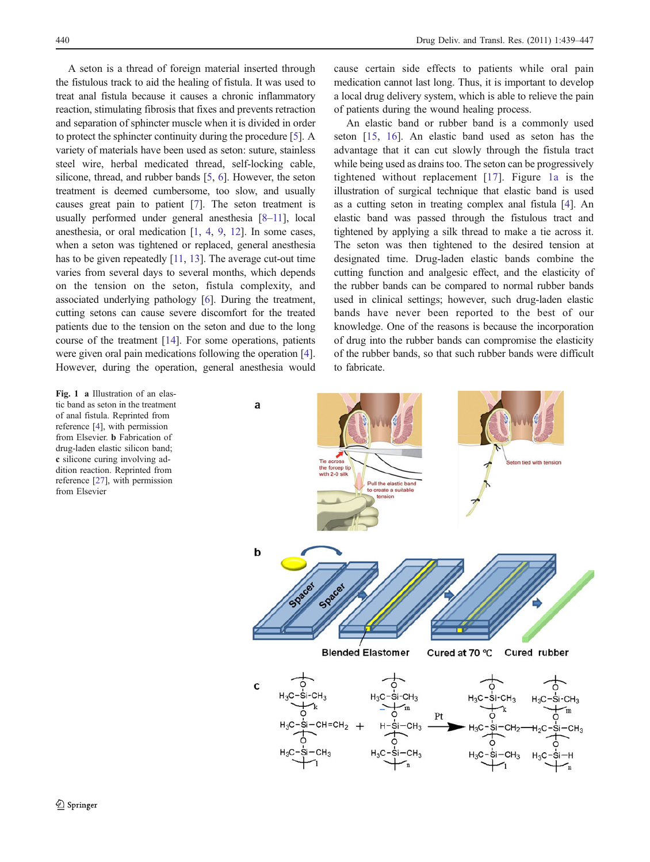<span id="page-1-0"></span>A seton is a thread of foreign material inserted through the fistulous track to aid the healing of fistula. It was used to treat anal fistula because it causes a chronic inflammatory reaction, stimulating fibrosis that fixes and prevents retraction and separation of sphincter muscle when it is divided in order to protect the sphincter continuity during the procedure [[5\]](#page-8-0). A variety of materials have been used as seton: suture, stainless steel wire, herbal medicated thread, self-locking cable, silicone, thread, and rubber bands [[5,](#page-8-0) [6\]](#page-8-0). However, the seton treatment is deemed cumbersome, too slow, and usually causes great pain to patient [[7](#page-8-0)]. The seton treatment is usually performed under general anesthesia [\[8](#page-8-0)–[11](#page-8-0)], local anesthesia, or oral medication [\[1](#page-8-0), [4](#page-8-0), [9,](#page-8-0) [12\]](#page-8-0). In some cases, when a seton was tightened or replaced, general anesthesia has to be given repeatedly [\[11](#page-8-0), [13](#page-8-0)]. The average cut-out time varies from several days to several months, which depends on the tension on the seton, fistula complexity, and associated underlying pathology [[6\]](#page-8-0). During the treatment, cutting setons can cause severe discomfort for the treated patients due to the tension on the seton and due to the long course of the treatment [\[14](#page-8-0)]. For some operations, patients were given oral pain medications following the operation [[4\]](#page-8-0). However, during the operation, general anesthesia would

Fig. 1 a Illustration of an elastic band as seton in the treatment of anal fistula. Reprinted from reference [[4\]](#page-8-0), with permission from Elsevier. b Fabrication of drug-laden elastic silicon band; c silicone curing involving addition reaction. Reprinted from reference [[27\]](#page-8-0), with permission from Elsevier

cause certain side effects to patients while oral pain medication cannot last long. Thus, it is important to develop a local drug delivery system, which is able to relieve the pain of patients during the wound healing process.

An elastic band or rubber band is a commonly used seton [[15,](#page-8-0) [16](#page-8-0)]. An elastic band used as seton has the advantage that it can cut slowly through the fistula tract while being used as drains too. The seton can be progressively tightened without replacement [\[17\]](#page-8-0). Figure 1a is the illustration of surgical technique that elastic band is used as a cutting seton in treating complex anal fistula [\[4](#page-8-0)]. An elastic band was passed through the fistulous tract and tightened by applying a silk thread to make a tie across it. The seton was then tightened to the desired tension at designated time. Drug-laden elastic bands combine the cutting function and analgesic effect, and the elasticity of the rubber bands can be compared to normal rubber bands used in clinical settings; however, such drug-laden elastic bands have never been reported to the best of our knowledge. One of the reasons is because the incorporation of drug into the rubber bands can compromise the elasticity of the rubber bands, so that such rubber bands were difficult to fabricate.

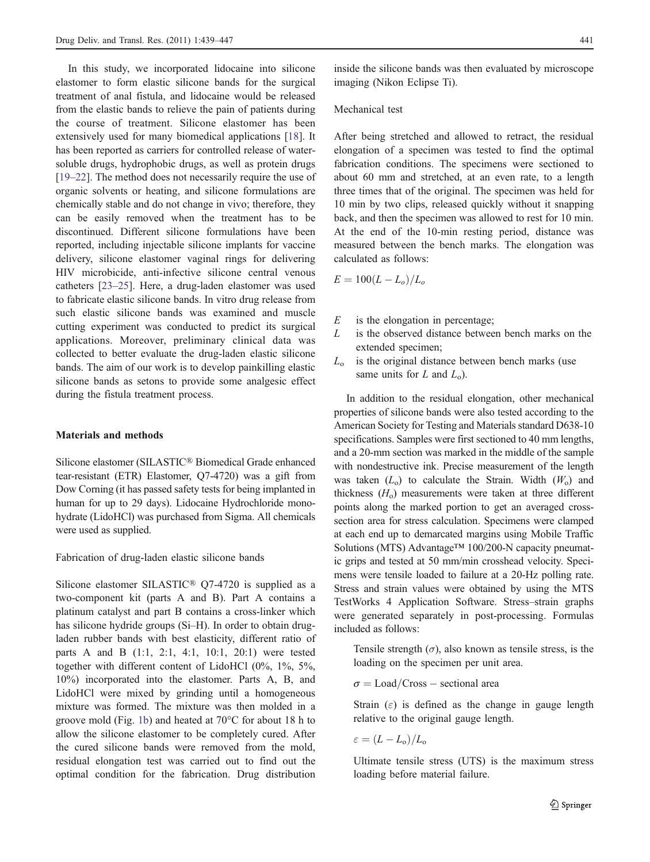In this study, we incorporated lidocaine into silicone elastomer to form elastic silicone bands for the surgical treatment of anal fistula, and lidocaine would be released from the elastic bands to relieve the pain of patients during the course of treatment. Silicone elastomer has been extensively used for many biomedical applications [[18\]](#page-8-0). It has been reported as carriers for controlled release of watersoluble drugs, hydrophobic drugs, as well as protein drugs [\[19](#page-8-0)–[22](#page-8-0)]. The method does not necessarily require the use of organic solvents or heating, and silicone formulations are chemically stable and do not change in vivo; therefore, they can be easily removed when the treatment has to be discontinued. Different silicone formulations have been reported, including injectable silicone implants for vaccine delivery, silicone elastomer vaginal rings for delivering HIV microbicide, anti-infective silicone central venous catheters [\[23](#page-8-0)–[25](#page-8-0)]. Here, a drug-laden elastomer was used to fabricate elastic silicone bands. In vitro drug release from such elastic silicone bands was examined and muscle cutting experiment was conducted to predict its surgical applications. Moreover, preliminary clinical data was collected to better evaluate the drug-laden elastic silicone bands. The aim of our work is to develop painkilling elastic silicone bands as setons to provide some analgesic effect during the fistula treatment process.

## Materials and methods

Silicone elastomer (SILASTIC® Biomedical Grade enhanced tear-resistant (ETR) Elastomer, Q7-4720) was a gift from Dow Corning (it has passed safety tests for being implanted in human for up to 29 days). Lidocaine Hydrochloride monohydrate (LidoHCl) was purchased from Sigma. All chemicals were used as supplied.

Fabrication of drug-laden elastic silicone bands

Silicone elastomer SILASTIC® Q7-4720 is supplied as a two-component kit (parts A and B). Part A contains a platinum catalyst and part B contains a cross-linker which has silicone hydride groups (Si-H). In order to obtain drugladen rubber bands with best elasticity, different ratio of parts A and B (1:1, 2:1, 4:1, 10:1, 20:1) were tested together with different content of LidoHCl (0%, 1%, 5%, 10%) incorporated into the elastomer. Parts A, B, and LidoHCl were mixed by grinding until a homogeneous mixture was formed. The mixture was then molded in a groove mold (Fig. [1b](#page-1-0)) and heated at 70°C for about 18 h to allow the silicone elastomer to be completely cured. After the cured silicone bands were removed from the mold, residual elongation test was carried out to find out the optimal condition for the fabrication. Drug distribution

inside the silicone bands was then evaluated by microscope imaging (Nikon Eclipse Ti).

#### Mechanical test

After being stretched and allowed to retract, the residual elongation of a specimen was tested to find the optimal fabrication conditions. The specimens were sectioned to about 60 mm and stretched, at an even rate, to a length three times that of the original. The specimen was held for 10 min by two clips, released quickly without it snapping back, and then the specimen was allowed to rest for 10 min. At the end of the 10-min resting period, distance was measured between the bench marks. The elongation was calculated as follows:

$$
E = 100(L - L_o)/L_o
$$

- $E$  is the elongation in percentage;<br> $L$  is the observed distance betwee
- is the observed distance between bench marks on the extended specimen;
- $L<sub>o</sub>$  is the original distance between bench marks (use same units for  $L$  and  $L_0$ ).

In addition to the residual elongation, other mechanical properties of silicone bands were also tested according to the American Society for Testing and Materials standard D638-10 specifications. Samples were first sectioned to 40 mm lengths, and a 20-mm section was marked in the middle of the sample with nondestructive ink. Precise measurement of the length was taken  $(L_0)$  to calculate the Strain. Width  $(W_0)$  and thickness  $(H<sub>o</sub>)$  measurements were taken at three different points along the marked portion to get an averaged crosssection area for stress calculation. Specimens were clamped at each end up to demarcated margins using Mobile Traffic Solutions (MTS) Advantage™ 100/200-N capacity pneumatic grips and tested at 50 mm/min crosshead velocity. Specimens were tensile loaded to failure at a 20-Hz polling rate. Stress and strain values were obtained by using the MTS TestWorks 4 Application Software. Stress–strain graphs were generated separately in post-processing. Formulas included as follows:

Tensile strength  $(\sigma)$ , also known as tensile stress, is the loading on the specimen per unit area.

 $\sigma =$  Load/Cross – sectional area

Strain  $(\varepsilon)$  is defined as the change in gauge length relative to the original gauge length.

$$
\varepsilon = (L - L_0)/L_0
$$

Ultimate tensile stress (UTS) is the maximum stress loading before material failure.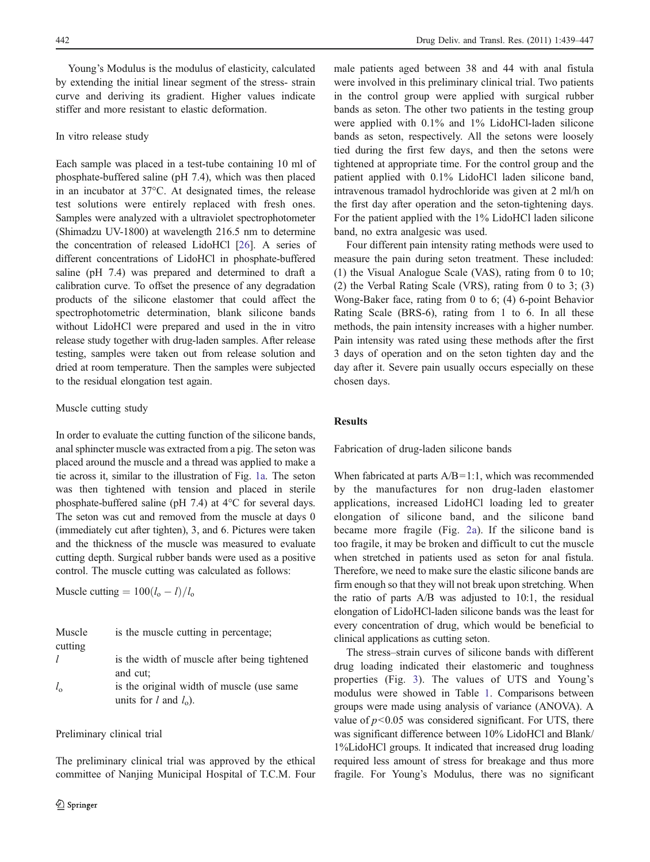Young's Modulus is the modulus of elasticity, calculated by extending the initial linear segment of the stress- strain curve and deriving its gradient. Higher values indicate stiffer and more resistant to elastic deformation.

#### In vitro release study

Each sample was placed in a test-tube containing 10 ml of phosphate-buffered saline (pH 7.4), which was then placed in an incubator at 37°C. At designated times, the release test solutions were entirely replaced with fresh ones. Samples were analyzed with a ultraviolet spectrophotometer (Shimadzu UV-1800) at wavelength 216.5 nm to determine the concentration of released LidoHCl [\[26\]](#page-8-0). A series of different concentrations of LidoHCl in phosphate-buffered saline (pH 7.4) was prepared and determined to draft a calibration curve. To offset the presence of any degradation products of the silicone elastomer that could affect the spectrophotometric determination, blank silicone bands without LidoHCl were prepared and used in the in vitro release study together with drug-laden samples. After release testing, samples were taken out from release solution and dried at room temperature. Then the samples were subjected to the residual elongation test again.

# Muscle cutting study

In order to evaluate the cutting function of the silicone bands, anal sphincter muscle was extracted from a pig. The seton was placed around the muscle and a thread was applied to make a tie across it, similar to the illustration of Fig. [1a](#page-1-0). The seton was then tightened with tension and placed in sterile phosphate-buffered saline (pH 7.4) at 4°C for several days. The seton was cut and removed from the muscle at days 0 (immediately cut after tighten), 3, and 6. Pictures were taken and the thickness of the muscle was measured to evaluate cutting depth. Surgical rubber bands were used as a positive control. The muscle cutting was calculated as follows:

Muscle cutting  $= 100(l_o - l)/l_o$ 

| Muscle<br>cutting | is the muscle cutting in percentage;                                  |
|-------------------|-----------------------------------------------------------------------|
|                   | is the width of muscle after being tightened<br>and cut:              |
| $l_{\rm o}$       | is the original width of muscle (use same<br>units for l and $l_0$ ). |

# Preliminary clinical trial

The preliminary clinical trial was approved by the ethical committee of Nanjing Municipal Hospital of T.C.M. Four male patients aged between 38 and 44 with anal fistula were involved in this preliminary clinical trial. Two patients in the control group were applied with surgical rubber bands as seton. The other two patients in the testing group were applied with 0.1% and 1% LidoHCl-laden silicone bands as seton, respectively. All the setons were loosely tied during the first few days, and then the setons were tightened at appropriate time. For the control group and the patient applied with 0.1% LidoHCl laden silicone band, intravenous tramadol hydrochloride was given at 2 ml/h on the first day after operation and the seton-tightening days. For the patient applied with the 1% LidoHCl laden silicone band, no extra analgesic was used.

Four different pain intensity rating methods were used to measure the pain during seton treatment. These included: (1) the Visual Analogue Scale (VAS), rating from 0 to 10; (2) the Verbal Rating Scale (VRS), rating from 0 to 3; (3) Wong-Baker face, rating from 0 to 6; (4) 6-point Behavior Rating Scale (BRS-6), rating from 1 to 6. In all these methods, the pain intensity increases with a higher number. Pain intensity was rated using these methods after the first 3 days of operation and on the seton tighten day and the day after it. Severe pain usually occurs especially on these chosen days.

# Results

Fabrication of drug-laden silicone bands

When fabricated at parts  $A/B=1:1$ , which was recommended by the manufactures for non drug-laden elastomer applications, increased LidoHCl loading led to greater elongation of silicone band, and the silicone band became more fragile (Fig. [2a](#page-4-0)). If the silicone band is too fragile, it may be broken and difficult to cut the muscle when stretched in patients used as seton for anal fistula. Therefore, we need to make sure the elastic silicone bands are firm enough so that they will not break upon stretching. When the ratio of parts A/B was adjusted to 10:1, the residual elongation of LidoHCl-laden silicone bands was the least for every concentration of drug, which would be beneficial to clinical applications as cutting seton.

The stress–strain curves of silicone bands with different drug loading indicated their elastomeric and toughness properties (Fig. [3\)](#page-4-0). The values of UTS and Young's modulus were showed in Table [1.](#page-5-0) Comparisons between groups were made using analysis of variance (ANOVA). A value of  $p<0.05$  was considered significant. For UTS, there was significant difference between 10% LidoHCl and Blank/ 1%LidoHCl groups. It indicated that increased drug loading required less amount of stress for breakage and thus more fragile. For Young's Modulus, there was no significant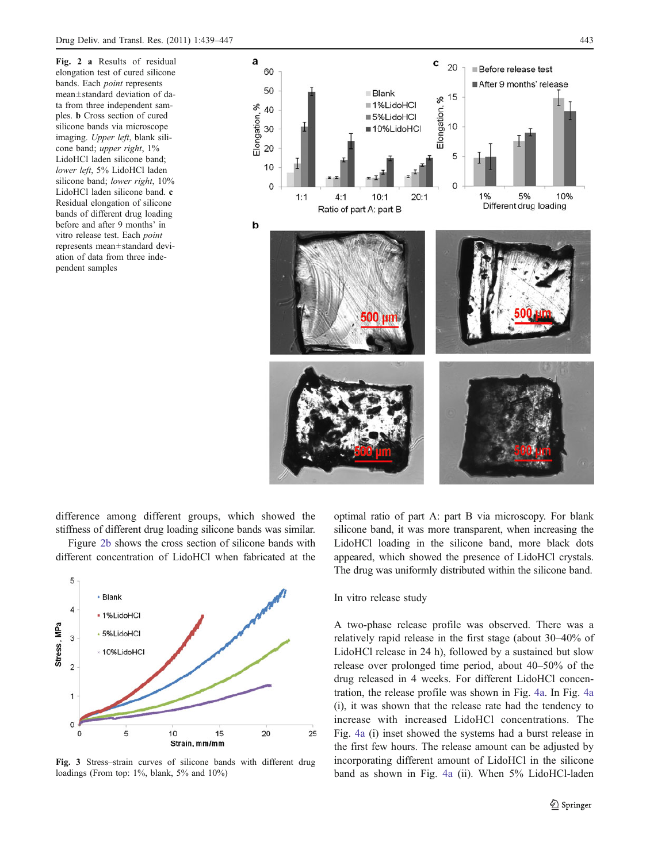<span id="page-4-0"></span>Fig. 2 a Results of residual elongation test of cured silicone bands. Each point represents mean±standard deviation of data from three independent samples. b Cross section of cured silicone bands via microscope imaging. Upper left, blank silicone band; *upper right*, 1% LidoHCl laden silicone band; lower left, 5% LidoHCl laden silicone band; lower right, 10% LidoHCl laden silicone band. c Residual elongation of silicone bands of different drug loading before and after 9 months' in vitro release test. Each point represents mean±standard deviation of data from three independent samples



difference among different groups, which showed the stiffness of different drug loading silicone bands was similar.

Figure 2b shows the cross section of silicone bands with different concentration of LidoHCl when fabricated at the



Fig. 3 Stress–strain curves of silicone bands with different drug loadings (From top: 1%, blank, 5% and 10%)

optimal ratio of part A: part B via microscopy. For blank silicone band, it was more transparent, when increasing the LidoHCl loading in the silicone band, more black dots appeared, which showed the presence of LidoHCl crystals. The drug was uniformly distributed within the silicone band.

In vitro release study

A two-phase release profile was observed. There was a relatively rapid release in the first stage (about 30–40% of LidoHCl release in 24 h), followed by a sustained but slow release over prolonged time period, about 40–50% of the drug released in 4 weeks. For different LidoHCl concentration, the release profile was shown in Fig. [4a](#page-5-0). In Fig. [4a](#page-5-0) (i), it was shown that the release rate had the tendency to increase with increased LidoHCl concentrations. The Fig. [4a](#page-5-0) (i) inset showed the systems had a burst release in the first few hours. The release amount can be adjusted by incorporating different amount of LidoHCl in the silicone band as shown in Fig. [4a](#page-5-0) (ii). When 5% LidoHCl-laden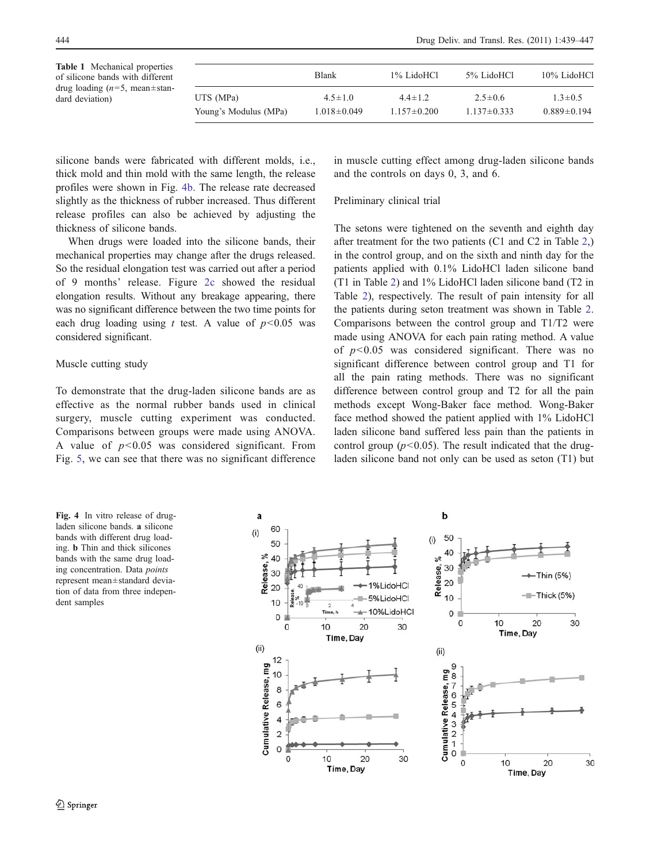<span id="page-5-0"></span>Table 1 Mechanical properties of silicone bands with different drug loading ( $n=5$ , mean $\pm$ standard deviation)

|                       | <b>Blank</b>      | 1% LidoHCl        | 5% LidoHCl      | 10% LidoHCl       |  |  |
|-----------------------|-------------------|-------------------|-----------------|-------------------|--|--|
| UTS (MPa)             | $4.5 \pm 1.0$     | $4.4 \pm 1.2$     | $2.5 \pm 0.6$   | $1.3 \pm 0.5$     |  |  |
| Young's Modulus (MPa) | $1.018 \pm 0.049$ | $1.157 \pm 0.200$ | $1.137\pm0.333$ | $0.889 \pm 0.194$ |  |  |

silicone bands were fabricated with different molds, i.e., thick mold and thin mold with the same length, the release profiles were shown in Fig. 4b. The release rate decreased slightly as the thickness of rubber increased. Thus different release profiles can also be achieved by adjusting the thickness of silicone bands.

When drugs were loaded into the silicone bands, their mechanical properties may change after the drugs released. So the residual elongation test was carried out after a period of 9 months' release. Figure [2c](#page-4-0) showed the residual elongation results. Without any breakage appearing, there was no significant difference between the two time points for each drug loading using t test. A value of  $p<0.05$  was considered significant.

#### Muscle cutting study

To demonstrate that the drug-laden silicone bands are as effective as the normal rubber bands used in clinical surgery, muscle cutting experiment was conducted. Comparisons between groups were made using ANOVA. A value of  $p<0.05$  was considered significant. From Fig. [5](#page-6-0), we can see that there was no significant difference in muscle cutting effect among drug-laden silicone bands and the controls on days 0, 3, and 6.

## Preliminary clinical trial

The setons were tightened on the seventh and eighth day after treatment for the two patients (C1 and C2 in Table [2,](#page-6-0)) in the control group, and on the sixth and ninth day for the patients applied with 0.1% LidoHCl laden silicone band (T1 in Table [2](#page-6-0)) and 1% LidoHCl laden silicone band (T2 in Table [2](#page-6-0)), respectively. The result of pain intensity for all the patients during seton treatment was shown in Table [2.](#page-6-0) Comparisons between the control group and T1/T2 were made using ANOVA for each pain rating method. A value of  $p<0.05$  was considered significant. There was no significant difference between control group and T1 for all the pain rating methods. There was no significant difference between control group and T2 for all the pain methods except Wong-Baker face method. Wong-Baker face method showed the patient applied with 1% LidoHCl laden silicone band suffered less pain than the patients in control group ( $p$ <0.05). The result indicated that the drugladen silicone band not only can be used as seton (T1) but

Fig. 4 In vitro release of drugladen silicone bands. a silicone bands with different drug loading. b Thin and thick silicones bands with the same drug loading concentration. Data points represent mean±standard deviation of data from three independent samples

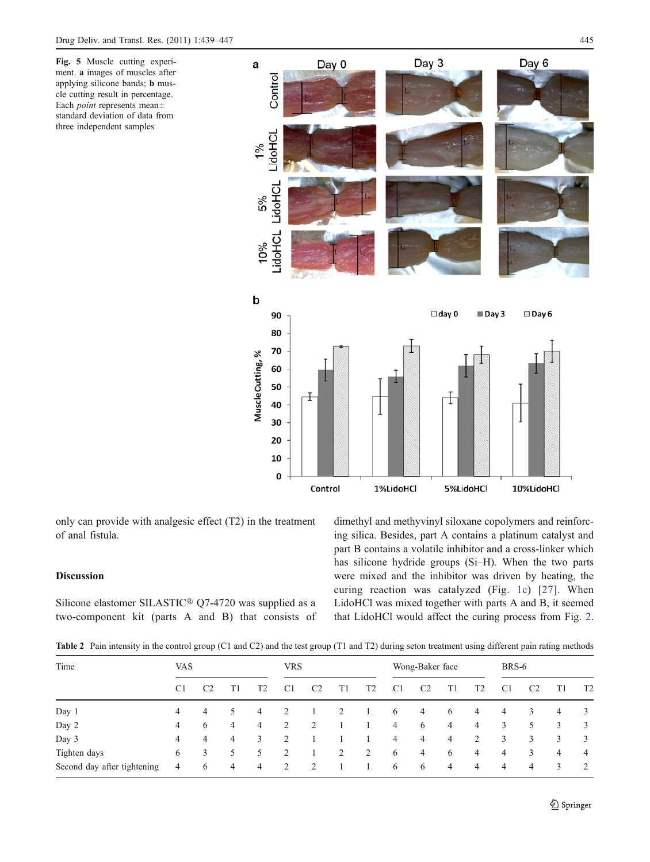<span id="page-6-0"></span>Fig. 5 Muscle cutting experiment. a images of muscles after applying silicone bands; b muscle cutting result in percentage. Each point represents mean± standard deviation of data from three independent samples



only can provide with analgesic effect (T2) in the treatment of anal fistula.

# Discussion

Silicone elastomer SILASTIC® Q7-4720 was supplied as a two-component kit (parts A and B) that consists of dimethyl and methyvinyl siloxane copolymers and reinforcing silica. Besides, part A contains a platinum catalyst and part B contains a volatile inhibitor and a cross-linker which has silicone hydride groups (Si–H). When the two parts were mixed and the inhibitor was driven by heating, the curing reaction was catalyzed (Fig. [1c](#page-1-0)) [[27](#page-8-0)]. When LidoHCl was mixed together with parts A and B, it seemed that LidoHCl would affect the curing process from Fig. [2.](#page-4-0)

Table 2 Pain intensity in the control group (C1 and C2) and the test group (T1 and T2) during seton treatment using different pain rating methods

| Time                        | <b>VAS</b>     |                |   | <b>VRS</b>     |                |                | Wong-Baker face |    |                |                | BRS-6          |                |                |                |    |                |
|-----------------------------|----------------|----------------|---|----------------|----------------|----------------|-----------------|----|----------------|----------------|----------------|----------------|----------------|----------------|----|----------------|
|                             | C <sub>1</sub> | C <sub>2</sub> |   | T <sub>2</sub> | C <sub>1</sub> | C <sub>2</sub> | T1              | T2 | C <sub>1</sub> | C <sub>2</sub> | T1             | T2             | C <sub>1</sub> | C <sub>2</sub> | T1 | T <sub>2</sub> |
| Day 1                       | 4              | 4              | 5 | 4              | 2              |                |                 |    | 6              | 4              | 6              | 4              | $\overline{4}$ | 3              | 4  | 3              |
| Day 2                       | 4              | 6              | 4 | 4              | 2              | 2              |                 |    | $\overline{4}$ | 6              | 4              | 4              | 3              | 5              | 3  | 3              |
| Day 3                       | 4              | 4              | 4 | 3              | 2              |                |                 |    | $\overline{4}$ | 4              | $\overline{4}$ | 2              | 3              | 3              | 3  | 3              |
| Tighten days                | 6              | 3              | 5 | 5              | 2              |                | 2               | 2  | 6              | $\overline{4}$ | 6              | $\overline{4}$ | $\overline{4}$ | 3              | 4  | $\overline{4}$ |
| Second day after tightening | 4              | 6              | 4 | 4              | 2              | 2              |                 |    | 6              | 6              | 4              | 4              | 4              | 4              | 3  | 2              |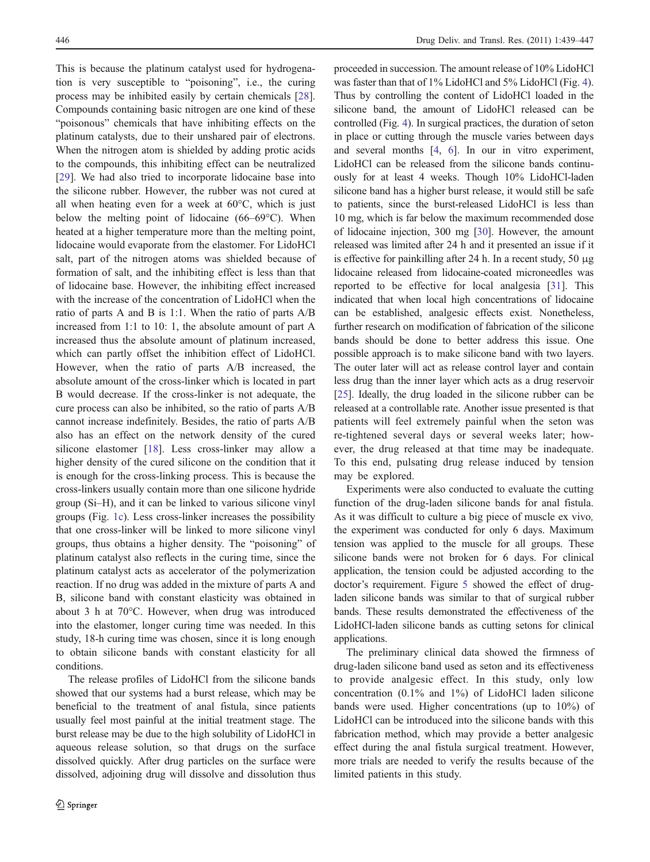This is because the platinum catalyst used for hydrogenation is very susceptible to "poisoning", i.e., the curing process may be inhibited easily by certain chemicals [\[28](#page-8-0)]. Compounds containing basic nitrogen are one kind of these "poisonous" chemicals that have inhibiting effects on the platinum catalysts, due to their unshared pair of electrons. When the nitrogen atom is shielded by adding protic acids to the compounds, this inhibiting effect can be neutralized [\[29](#page-8-0)]. We had also tried to incorporate lidocaine base into the silicone rubber. However, the rubber was not cured at all when heating even for a week at  $60^{\circ}$ C, which is just below the melting point of lidocaine (66–69°C). When heated at a higher temperature more than the melting point, lidocaine would evaporate from the elastomer. For LidoHCl salt, part of the nitrogen atoms was shielded because of formation of salt, and the inhibiting effect is less than that of lidocaine base. However, the inhibiting effect increased with the increase of the concentration of LidoHCl when the ratio of parts A and B is 1:1. When the ratio of parts A/B increased from 1:1 to 10: 1, the absolute amount of part A increased thus the absolute amount of platinum increased, which can partly offset the inhibition effect of LidoHCl. However, when the ratio of parts A/B increased, the absolute amount of the cross-linker which is located in part B would decrease. If the cross-linker is not adequate, the cure process can also be inhibited, so the ratio of parts A/B cannot increase indefinitely. Besides, the ratio of parts A/B also has an effect on the network density of the cured silicone elastomer [\[18](#page-8-0)]. Less cross-linker may allow a higher density of the cured silicone on the condition that it is enough for the cross-linking process. This is because the cross-linkers usually contain more than one silicone hydride group (Si–H), and it can be linked to various silicone vinyl groups (Fig. [1c\)](#page-1-0). Less cross-linker increases the possibility that one cross-linker will be linked to more silicone vinyl groups, thus obtains a higher density. The "poisoning" of platinum catalyst also reflects in the curing time, since the platinum catalyst acts as accelerator of the polymerization reaction. If no drug was added in the mixture of parts A and B, silicone band with constant elasticity was obtained in about 3 h at 70°C. However, when drug was introduced into the elastomer, longer curing time was needed. In this study, 18-h curing time was chosen, since it is long enough to obtain silicone bands with constant elasticity for all conditions.

The release profiles of LidoHCl from the silicone bands showed that our systems had a burst release, which may be beneficial to the treatment of anal fistula, since patients usually feel most painful at the initial treatment stage. The burst release may be due to the high solubility of LidoHCl in aqueous release solution, so that drugs on the surface dissolved quickly. After drug particles on the surface were dissolved, adjoining drug will dissolve and dissolution thus proceeded in succession. The amount release of 10% LidoHCl was faster than that of 1% LidoHCl and 5% LidoHCl (Fig. [4\)](#page-5-0). Thus by controlling the content of LidoHCl loaded in the silicone band, the amount of LidoHCl released can be controlled (Fig. [4\)](#page-5-0). In surgical practices, the duration of seton in place or cutting through the muscle varies between days and several months [\[4](#page-8-0), [6\]](#page-8-0). In our in vitro experiment, LidoHCl can be released from the silicone bands continuously for at least 4 weeks. Though 10% LidoHCl-laden silicone band has a higher burst release, it would still be safe to patients, since the burst-released LidoHCl is less than 10 mg, which is far below the maximum recommended dose of lidocaine injection, 300 mg [\[30](#page-8-0)]. However, the amount released was limited after 24 h and it presented an issue if it is effective for painkilling after 24 h. In a recent study, 50 μg lidocaine released from lidocaine-coated microneedles was reported to be effective for local analgesia [[31\]](#page-8-0). This indicated that when local high concentrations of lidocaine can be established, analgesic effects exist. Nonetheless, further research on modification of fabrication of the silicone bands should be done to better address this issue. One possible approach is to make silicone band with two layers. The outer later will act as release control layer and contain less drug than the inner layer which acts as a drug reservoir [\[25](#page-8-0)]. Ideally, the drug loaded in the silicone rubber can be released at a controllable rate. Another issue presented is that patients will feel extremely painful when the seton was re-tightened several days or several weeks later; however, the drug released at that time may be inadequate. To this end, pulsating drug release induced by tension may be explored.

Experiments were also conducted to evaluate the cutting function of the drug-laden silicone bands for anal fistula. As it was difficult to culture a big piece of muscle ex vivo, the experiment was conducted for only 6 days. Maximum tension was applied to the muscle for all groups. These silicone bands were not broken for 6 days. For clinical application, the tension could be adjusted according to the doctor's requirement. Figure [5](#page-6-0) showed the effect of drugladen silicone bands was similar to that of surgical rubber bands. These results demonstrated the effectiveness of the LidoHCl-laden silicone bands as cutting setons for clinical applications.

The preliminary clinical data showed the firmness of drug-laden silicone band used as seton and its effectiveness to provide analgesic effect. In this study, only low concentration (0.1% and 1%) of LidoHCl laden silicone bands were used. Higher concentrations (up to 10%) of LidoHCl can be introduced into the silicone bands with this fabrication method, which may provide a better analgesic effect during the anal fistula surgical treatment. However, more trials are needed to verify the results because of the limited patients in this study.